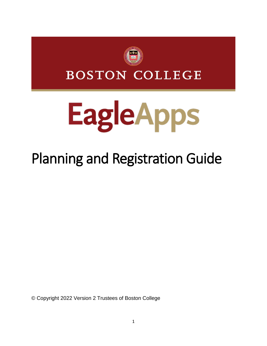

**BOSTON COLLEGE** 

# **EagleApps**

# Planning and Registration Guide

© Copyright 2022 Version 2 Trustees of Boston College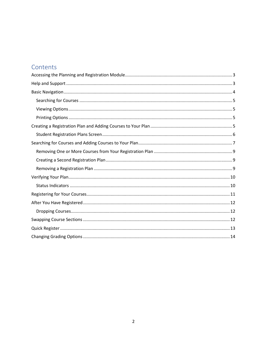# Contents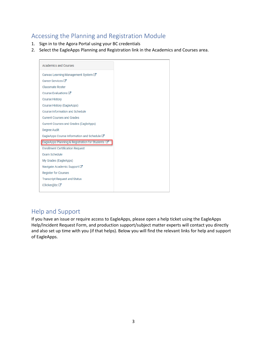# <span id="page-2-0"></span>Accessing the Planning and Registration Module

- 1. Sign in to the Agora Portal using your BC credentials
- 2. Select the EagleApps Planning and Registration link in the Academics and Courses area.

| <b>Academics and Courses</b>                     |
|--------------------------------------------------|
| Canvas Learning Management System ⊠              |
| Career Services <sup>[7]</sup>                   |
| Classmate Roster                                 |
| Course Evaluations C                             |
| <b>Course History</b>                            |
| Course History (EagleApps)                       |
| Course Information and Schedule                  |
| <b>Current Courses and Grades</b>                |
| Current Courses and Grades (EagleApps)           |
| Degree Audit                                     |
| EagleApps Course Information and Schedule C      |
| EagleApps Planning & Registration for Students C |
| <b>Enrollment Certification Request</b>          |
| <b>Exam Schedule</b>                             |
| My Grades (EagleApps)                            |
|                                                  |
| Navigate Academic Support <b>⊡</b>               |
| <b>Register for Courses</b>                      |
| <b>Transcript Request and Status</b>             |
| iClicker@bc <sup>™</sup>                         |

# <span id="page-2-1"></span>Help and Support

If you have an issue or require access to EagleApps, please open a help ticket using the EagleApps Help/Incident Request Form, and production support/subject matter experts will contact you directly and also set up time with you (if that helps). Below you will find the relevant links for help and support of EagleApps.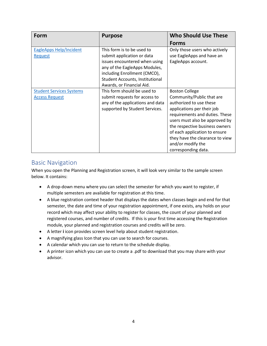| Form                                                     | <b>Purpose</b>                                                                                                                                                                                                             | <b>Who Should Use These</b>                                                                                                                                                                                                                                                                                                       |
|----------------------------------------------------------|----------------------------------------------------------------------------------------------------------------------------------------------------------------------------------------------------------------------------|-----------------------------------------------------------------------------------------------------------------------------------------------------------------------------------------------------------------------------------------------------------------------------------------------------------------------------------|
|                                                          |                                                                                                                                                                                                                            | <b>Forms</b>                                                                                                                                                                                                                                                                                                                      |
| <b>EagleApps Help/Incident</b><br>Request                | This form is to be used to<br>submit application or data<br>issues encountered when using<br>any of the EagleApps Modules,<br>including Enrollment (CMCO),<br>Student Accounts, Institutional<br>Awards, or Financial Aid. | Only those users who actively<br>use EagleApps and have an<br>EagleApps account.                                                                                                                                                                                                                                                  |
| <b>Student Services Systems</b><br><b>Access Request</b> | This form should be used to<br>submit requests for access to<br>any of the applications and data<br>supported by Student Services.                                                                                         | <b>Boston College</b><br>Community/Public that are<br>authorized to use these<br>applications per their job<br>requirements and duties. These<br>users must also be approved by<br>the respective business owners<br>of each application to ensure<br>they have the clearance to view<br>and/or modify the<br>corresponding data. |

# <span id="page-3-0"></span>Basic Navigation

When you open the Planning and Registration screen, it will look very similar to the sample screen below. It contains:

- A drop-down menu where you can select the semester for which you want to register, if multiple semesters are available for registration at this time.
- A blue registration context header that displays the dates when classes begin and end for that semester, the date and time of your registration appointment, if one exists, any holds on your record which may affect your ability to register for classes, the count of your planned and registered courses, and number of credits. If this is your first time accessing the Registration module, your planned and registration courses and credits will be zero.
- A letter **i** icon provides screen level help about student registration.
- A magnifying glass Icon that you can use to search for courses.
- A calendar which you can use to return to the schedule display.
- A printer icon which you can use to create a .pdf to download that you may share with your advisor.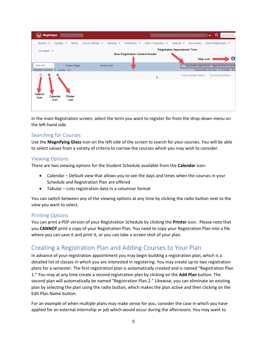| (a)                             | <b>EagleApps</b>                 |                               | Student Registration |                                       |                                |                                         |                                        |                                      |                                                 | $\checkmark$         | ☆ |                                    |
|---------------------------------|----------------------------------|-------------------------------|----------------------|---------------------------------------|--------------------------------|-----------------------------------------|----------------------------------------|--------------------------------------|-------------------------------------------------|----------------------|---|------------------------------------|
| Student $\blacktriangleright$   |                                  | Grading $\blacktriangleright$ | Home                 | Course Offering $\blacktriangleright$ | Advising $\blacktriangleright$ | Scheduling $\blacktriangleright$        | Admin Graduation $\blacktriangleright$ | General $\blacktriangleright$        | <b>Documents</b>                                | Admin Registration ▼ |   |                                    |
|                                 | Curriculum $\blacktriangleright$ |                               |                      |                                       |                                |                                         |                                        | <b>Registration Appointment Time</b> |                                                 |                      |   |                                    |
|                                 |                                  |                               |                      |                                       |                                | <b>Blue Registration Context Header</b> |                                        |                                      |                                                 | Help Icon            |   | d                                  |
|                                 |                                  |                               |                      |                                       |                                |                                         |                                        |                                      |                                                 |                      |   |                                    |
| $2020 - 2021$ $\bullet$         |                                  |                               | Classes Begin:       |                                       | Classes End:                   |                                         |                                        |                                      | Registration Appointment: Appointment not found |                      |   |                                    |
| Planned Courses: 0 Credits: 0.0 |                                  |                               |                      |                                       |                                |                                         |                                        |                                      |                                                 |                      |   | Registered Courses: 0 Credits: 0.0 |
|                                 | 萹                                | A                             |                      |                                       |                                |                                         | r,                                     |                                      | Course Syllabi Search                           |                      |   | <b>Course Evaluations</b>          |
| Search<br>Icon                  |                                  | Calendar<br>Icon              | Printer<br>Icon      |                                       |                                |                                         |                                        |                                      |                                                 |                      |   |                                    |

In the main Registration screen, select the term you want to register for from the drop-down menu on the left-hand side.

#### <span id="page-4-0"></span>Searching for Courses

Use the **Magnifying Glass** icon on the left side of the screen to search for your courses. You will be able to select values from a variety of criteria to narrow the courses which you may wish to consider.

#### <span id="page-4-1"></span>Viewing Options

There are two viewing options for the Student Schedule available from the **Calendar** icon:

- Calendar Default view that allows you to see the days and times when the courses in your Schedule and Registration Plan are offered
- Tabular Lists registration data in a columnar format

You can switch between any of the viewing options at any time by clicking the radio button next to the view you want to select.

#### <span id="page-4-2"></span>Printing Options

You can print a PDF version of your Registration Schedule by clicking the **Printer** icon. Please note that you **CANNOT** print a copy of your Registration Plan. You need to copy your Registration Plan into a file where you can save it and print it, or you can take a screen shot of your plan.

# <span id="page-4-3"></span>Creating a Registration Plan and Adding Courses to Your Plan

In advance of your registration appointment you may begin building a registration plan, which is a detailed list of classes in which you are interested in registering. You may create up to two registration plans for a semester. The first registration plan is automatically created and is named "Registration Plan 1." You may at any time create a second registration plan by clicking on the **Add Plan** button. The second plan will automatically be named "Registration Plan 2." Likewise, you can eliminate an existing plan by selecting the plan using the radio button, which makes the plan active and then clicking on the Edit Plan Name button.

For an example of when multiple plans may make sense for you, consider the case in which you have applied for an external internship or job which would occur during the afternoons. You may want to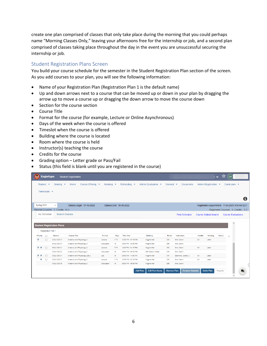create one plan comprised of classes that only take place during the morning that you could perhaps name "Morning Classes Only," leaving your afternoons free for the internship or job, and a second plan comprised of classes taking place throughout the day in the event you are unsuccessful securing the internship or job.

#### <span id="page-5-0"></span>Student Registration Plans Screen

You build your course schedule for the semester in the Student Registration Plan section of the screen. As you add courses to your plan, you will see the following information:

- Name of your Registration Plan (Registration Plan 1 is the default name)
- Up and down arrows next to a course that can be moved up or down in your plan by dragging the arrow up to move a course up or dragging the down arrow to move the course down
- Section for the course section
- Course Title
- Format for the course (for example, Lecture or Online Asynchronous)
- Days of the week when the course is offered
- Timeslot when the course is offered
- Building where the course is located
- Room where the course is held
- Instructor(s) teaching the course
- Credits for the course
- Grading option Letter grade or Pass/Fail
- Status (this field is blank until you are registered in the course)

|           | <b>EagleApps</b>                  |                                   | <b>Student Registration</b>  |                                      |                                |                 |                                  |                                          |                               |                        |                |                                                  | ↓ ☆                                | QA                |                           |   |
|-----------|-----------------------------------|-----------------------------------|------------------------------|--------------------------------------|--------------------------------|-----------------|----------------------------------|------------------------------------------|-------------------------------|------------------------|----------------|--------------------------------------------------|------------------------------------|-------------------|---------------------------|---|
|           | Student $\blacktriangleright$     | Grading $\blacktriangleright$     | Home                         | Course Offering $\blacktriangledown$ | Advising $\blacktriangleright$ |                 | Scheduling $\blacktriangleright$ | Admin Graduation ▼                       | General $\blacktriangleright$ | <b>Documents</b>       |                | Admin Registration ▼                             |                                    | Curriculum $\sim$ |                           |   |
|           | Transcripts $\blacktriangleright$ |                                   |                              |                                      |                                |                 |                                  |                                          |                               |                        |                |                                                  |                                    |                   |                           |   |
|           |                                   |                                   |                              |                                      |                                |                 |                                  |                                          |                               |                        |                |                                                  |                                    |                   |                           |   |
|           |                                   |                                   |                              |                                      |                                |                 |                                  |                                          |                               |                        |                |                                                  |                                    |                   |                           | 0 |
|           | Spring 2022                       |                                   |                              | Classes Begin: 01-18-2022            |                                |                 | Classes End: 05-05-2022          |                                          |                               |                        |                | Registration Appointment: 11-05-2021 9:00 AM EDT |                                    |                   |                           |   |
|           |                                   | Planned Courses: 4 Credits: 10.0  |                              |                                      |                                |                 |                                  |                                          |                               |                        |                |                                                  | Registered Courses: 0 Credits: 0.0 |                   |                           |   |
|           | My Schedule                       | <b>Search Courses</b>             |                              |                                      |                                |                 |                                  |                                          |                               | <b>Print Schedule</b>  |                | Course Syllabi Search                            |                                    |                   | <b>Course Evaluations</b> |   |
|           |                                   |                                   |                              |                                      |                                |                 |                                  |                                          |                               |                        |                |                                                  |                                    |                   |                           |   |
|           |                                   | <b>Student Registration Plans</b> |                              |                                      |                                |                 |                                  |                                          |                               |                        |                |                                                  |                                    | $\blacktriangle$  |                           |   |
|           |                                   |                                   |                              |                                      |                                |                 |                                  |                                          |                               |                        |                |                                                  |                                    |                   |                           |   |
|           | <b>Registration Plan 1</b>        |                                   |                              |                                      |                                |                 |                                  |                                          |                               |                        |                |                                                  |                                    |                   |                           |   |
| Priority  | $\Box$                            | <b>Section</b>                    | <b>Course Title</b>          |                                      | Format                         | <b>Days</b>     | <b>Time Slot</b>                 | <b>Building</b>                          | Room                          | Instructors            | <b>Credits</b> | Grading                                          | <b>Status</b>                      | ь                 |                           |   |
| $\bullet$ | $\Box$                            | BIOL1320 01                       | Anatomy and Physiology 2     |                                      | Lecture                        | T <sub>Th</sub> | 12:00 PM - 01:15 PM              | <b>Higgins Hall</b>                      | 300                           | Mott. Devin            | 3.0            | Letter                                           |                                    |                   |                           |   |
|           |                                   | BIOL132004                        | Anatomy and Physiology 2     |                                      | <b>Discussion</b>              | W               | 04:00 PM - 04:50 PM              | <b>Higgins Hall</b>                      | 265                           | Mott. Devin            |                |                                                  |                                    |                   |                           |   |
| $O$ $O$   | $\Box$                            | BIOL132001                        | Anatomy and Physiology 2     |                                      | Lecture                        | T <sub>Th</sub> | 12:00 PM - 01:15 PM              | <b>Higgins Hall</b>                      | 300                           | Mott, Devin            | 3.0            | Letter                                           |                                    |                   |                           |   |
|           |                                   | BIOL1320 02                       | Anatomy and Physiology 2     |                                      | Discussion                     | M               | 04:00 PM - 04:50 PM              | 245 Beacon Street                        | 214                           | Mott. Devin            |                |                                                  |                                    |                   |                           |   |
| $O$ $O$   | $\Box$                            | BIOL133001                        | Anatomy and Physiology Lab 2 |                                      | Lab                            | M               | 09:00 AM - 11:00 AM              | <b>Higgins Hall</b>                      | 370                           | Eberhard, Jeremy J     | 1.0            | Letter                                           |                                    |                   |                           |   |
|           | ۰<br>$\Box$                       | BIOL132001                        | Anatomy and Physiology 2     |                                      | Lecture                        | T <sub>Th</sub> | 12:00 PM - 01:15 PM              | <b>Higgins Hall</b>                      | 300                           | Mott. Devin            | 3.0            | Letter                                           |                                    |                   |                           |   |
|           |                                   | BIOL1320 05                       | Anatomy and Physiology 2     |                                      | <b>Discussion</b>              | W               | 05:00 PM - 05:50 PM              | <b>Higgins Hall</b>                      | 265                           | Mott. Devin            |                |                                                  |                                    |                   |                           |   |
|           |                                   |                                   |                              |                                      |                                |                 |                                  |                                          |                               |                        |                |                                                  |                                    |                   |                           |   |
|           |                                   |                                   |                              |                                      |                                |                 |                                  | <b>Edit Plan Name</b><br><b>Add Plan</b> | <b>Remove Plan</b>            | <b>Remove Selected</b> |                | Verify Plan                                      | Register                           |                   |                           |   |
|           |                                   |                                   |                              |                                      |                                |                 |                                  |                                          |                               |                        |                |                                                  |                                    | $\checkmark$      |                           |   |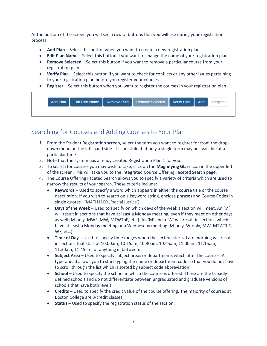At the bottom of the screen you will see a row of buttons that you will use during your registration process.

- **Add Plan** Select this button when you want to create a new registration plan.
- **Edit Plan Name** Select this button if you want to change the name of your registration plan.
- **Remove Selected** Select this button if you want to remove a particular course from your registration plan.
- **Verify Pla**n Select this button if you want to check for conflicts or any other issues pertaining to your registration plan before you register your courses.
- **Register** Select this button when you want to register the courses in your registration plan.



# <span id="page-6-0"></span>Searching for Courses and Adding Courses to Your Plan

- 1. From the Student Registration screen, select the term you want to register for from the dropdown menu on the left-hand side. It is possible that only a single term may be available at a particular time.
- 2. Note that the system has already created Registration Plan 1 for you.
- 3. To search for courses you may wish to take, click on the **Magnifying Glass** icon in the upper left of the screen. This will take you to the integrated Course Offering Faceted Search page.
- 4. The Course Offering Faceted Search allows you to specify a variety of criteria which are used to narrow the results of your search. These criteria include:
	- **Keywords** Used to specify a word which appears in either the course title or the course description. If you wish to search on a keyword string, enclose phrases and Course Codes in single quotes. ('MATH1100', 'social justice')
	- **Days of the Week** Used to specify on which days of the week a section will meet. An 'M' will result in sections that have at least a Monday meeting, even if they meet on other days as well (M-only, MWF, MW, MTWThF, etc.). An 'M' and a 'W' will result in sections which have at least a Monday meeting or a Wednesday meeting (M-only, W-only, MW, MTWThF, WF, etc.).
	- **Time of Day** Used to specify time ranges when the section starts. Late morning will result in sections that start at 10:00am, 10:15am, 10:30am, 10:45am, 11:00am, 11:15am, 11:30am, 11:45am, or anything in between.
	- **Subject Area** Used to specify subject areas or departments which offer the courses. A type-ahead allows you to start typing the name or department code so that you do not have to scroll through the list which is sorted by subject code abbreviation.
	- **School** Used to specify the school in which the course is offered. These are the broadlydefined schools and do not differentiate between ungraduated and graduate versions of schools that have both levels.
	- **Credits** Used to specify the credit value of the course offering. The majority of courses at Boston College are 3-credit classes.
	- **Status** Used to specify the registration status of the section.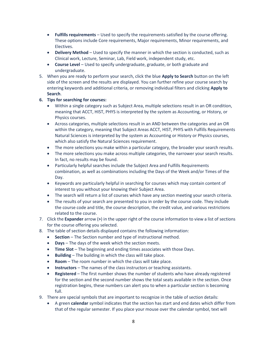- **Fulfills requirements** Used to specify the requirements satisfied by the course offering. These options include Core requirements, Major requirements, Minor requirements, and Electives.
- **Delivery Method** Used to specify the manner in which the section is conducted, such as Clinical work, Lecture, Seminar, Lab, Field work, independent study, etc.
- **Course Level** Used to specify undergraduate, graduate, or both graduate and undergraduate.
- 5. When you are ready to perform your search, click the blue **Apply to Search** button on the left side of the screen and the results are displayed. You can further refine your course search by entering keywords and additional criteria, or removing individual filters and clicking **Apply to Search**.

#### **6. Tips for searching for courses:**

- Within a single category such as Subject Area, multiple selections result in an OR condition, meaning that ACCT, HIST, PHYS is interpreted by the system as Accounting, or History, or Physics courses.
- Across categories, multiple selections result in an AND between the categories and an OR within the category, meaning that Subject Areas ACCT, HIST, PHYS with Fulfills Requirements Natural Sciences is interpreted by the system as Accounting or History or Physics courses, which also satisfy the Natural Sciences requirement.
- The more selections you make within a particular category, the broader your search results.
- The more selections you make across multiple categories, the narrower your search results. In fact, no results may be found.
- Particularly helpful searches include the Subject Area and Fulfills Requirements combination, as well as combinations including the Days of the Week and/or Times of the Day.
- Keywords are particularly helpful in searching for courses which may contain content of interest to you without your knowing their Subject Area.
- The search will return a list of courses which have any section meeting your search criteria.
- The results of your search are presented to you in order by the course code. They include the course code and title, the course description, the credit value, and various restrictions related to the course.
- 7. Click the **Expander** arrow (**>**) in the upper right of the course information to view a list of sections for the course offering you selected.
- 8. The table of section details displayed contains the following information:
	- **Section** The Section number and type of instructional method.
	- **Days** The days of the week which the section meets.
	- **Time Slot** The beginning and ending times associates with those Days.
	- **Building** The building in which the class will take place.
	- **Room** The room number in which the class will take place.
	- **Instructors** The names of the class instructors or teaching assistants.
	- **Registered** The first number shows the number of students who have already registered for the section and the second number shows the total seats available in the section. Once registration begins, these numbers can alert you to when a particular section is becoming full.
- 9. There are special symbols that are important to recognize in the table of section details:
	- A green **calendar** symbol indicates that the section has start and end dates which differ from that of the regular semester. If you place your mouse over the calendar symbol, text will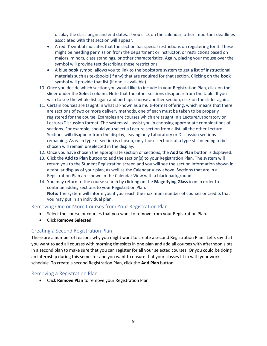display the class begin and end dates. If you click on the calendar, other important deadlines associated with that section will appear.

- A red '**l**' symbol indicates that the section has special restrictions on registering for it. These might be needing permission from the department or instructor, or restrictions based on majors, minors, class standings, or other characteristics. Again, placing your mouse over the symbol will provide text describing these restrictions.
- A blue **book** symbol allows you to link to the bookstore system to get a list of instructional materials such as textbooks (if any) that are required for that section. Clicking on the **book**  symbol will provide that list (if one is available).
- 10. Once you decide which section you would like to include in your Registration Plan, click on the slider under the **Select** column. Note that the other sections disappear from the table. If you wish to see the whole list again and perhaps choose another section, click on the slider again.
- 11. Certain courses are taught in what is known as a multi-format offering, which means that there are sections of two or more delivery methods, one of each must be taken to be properly registered for the course. Examples are courses which are taught in a Lecture/Laboratory or Lecture/Discussion format. The system will assist you in choosing appropriate combinations of sections. For example, should you select a Lecture section from a list, all the other Lecture Sections will disappear from the display, leaving only Laboratory or Discussion sections remaining. As each type of section is chosen, only those sections of a type still needing to be chosen will remain unselected in the display.
- 12. Once you have chosen the appropriate section or sections, the **Add to Plan** button is displayed.
- 13. Click the **Add to Plan** button to add the section(s) to your Registration Plan. The system will return you to the Student Registration screen and you will see the section information shown in a tabular display of your plan, as well as the Calendar View above. Sections that are in a Registration Plan are shown in the Calendar View with a black background.
- 14. You may return to the course search by clicking on the **Magnifying Glass** icon in order to continue adding sections to your Registration Plan. **Note:** The system will inform you if you reach the maximum number of courses or credits that you may put in an individual plan.

#### <span id="page-8-0"></span>Removing One or More Courses from Your Registration Plan

- Select the course or courses that you want to remove from your Registration Plan.
- Click **Remove Selected**.

#### <span id="page-8-1"></span>Creating a Second Registration Plan

There are a number of reasons why you might want to create a second Registration Plan. Let's say that you want to add all courses with morning timeslots in one plan and add all courses with afternoon slots in a second plan to make sure that you can register for all your selected courses. Or you could be doing an internship during this semester and you want to ensure that your classes fit in with your work schedule. To create a second Registration Plan, click the **Add Plan** button.

#### <span id="page-8-2"></span>Removing a Registration Plan

• Click **Remove Plan** to remove your Registration Plan.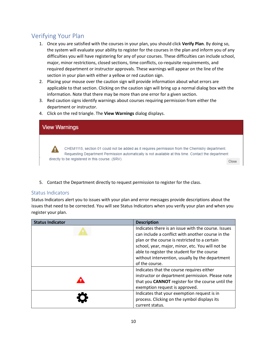# <span id="page-9-0"></span>Verifying Your Plan

- 1. Once you are satisfied with the courses in your plan, you should click **Verify Plan**. By doing so, the system will evaluate your ability to register for the courses in the plan and inform you of any difficulties you will have registering for any of your courses. These difficulties can include school, major, minor restrictions, closed sections, time conflicts, co-requisite requirements, and required department or instructor approvals. These warnings will appear on the line of the section in your plan with either a yellow or red caution sign.
- 2. Placing your mouse over the caution sign will provide information about what errors are applicable to that section. Clicking on the caution sign will bring up a normal dialog box with the information. Note that there may be more than one error for a given section.
- 3. Red caution signs identify warnings about courses requiring permission from either the department or instructor.
- 4. Click on the red triangle. The **View Warnings** dialog displays.



<span id="page-9-1"></span>5. Contact the Department directly to request permission to register for the class.

#### Status Indicators

Status Indicators alert you to issues with your plan and error messages provide descriptions about the issues that need to be corrected. You will see Status Indicators when you verify your plan and when you register your plan.

| <b>Status Indicator</b> | <b>Description</b>                                  |
|-------------------------|-----------------------------------------------------|
|                         | Indicates there is an issue with the course. Issues |
|                         | can include a conflict with another course in the   |
|                         | plan or the course is restricted to a certain       |
|                         | school, year, major, minor, etc. You will not be    |
|                         | able to register the student for the course         |
|                         | without intervention, usually by the department     |
|                         | of the course.                                      |
|                         | Indicates that the course requires either           |
|                         | instructor or department permission. Please note    |
|                         | that you CANNOT register for the course until the   |
|                         | exemption request is approved.                      |
|                         | Indicates that your exemption request is in         |
|                         | process. Clicking on the symbol displays its        |
|                         | current status.                                     |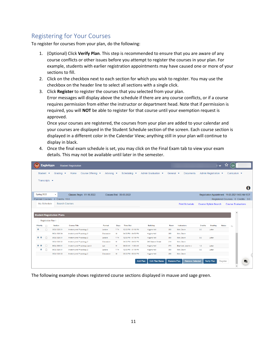# <span id="page-10-0"></span>Registering for Your Courses

To register for courses from your plan, do the following:

- 1. (Optional) Click **Verify Plan**. This step is recommended to ensure that you are aware of any course conflicts or other issues before you attempt to register the courses in your plan. For example, students with earlier registration appointments may have caused one or more of your sections to fill.
- 2. Click on the checkbox next to each section for which you wish to register. You may use the checkbox on the header line to select all sections with a single click.
- 3. Click **Register** to register the courses that you selected from your plan. Error messages will display above the schedule if there are any course conflicts, or if a course requires permission from either the instructor or department head. Note that if permission is required, you will **NOT** be able to register for that course until your exemption request is approved.

Once your courses are registered, the courses from your plan are added to your calendar and your courses are displayed in the Student Schedule section of the screen. Each course section is displayed in a different color in the Calendar View; anything still in your plan will continue to display in black.

4. Once the final exam schedule is set, you may click on the Final Exam tab to view your exam details. This may not be available until later in the semester.

| A                     | <b>EagleApps</b>                  |                                   | <b>Student Registration</b>                          |                           |                          |                      |                                            |                                          |                               |                            |                |                                                  | v ☆           | (QA                              |                                    |                  |
|-----------------------|-----------------------------------|-----------------------------------|------------------------------------------------------|---------------------------|--------------------------|----------------------|--------------------------------------------|------------------------------------------|-------------------------------|----------------------------|----------------|--------------------------------------------------|---------------|----------------------------------|------------------------------------|------------------|
|                       | Student $\blacktriangleright$     | Grading $\blacktriangleright$     | Home                                                 | Course Offering $\bullet$ | Advising $\bullet$       |                      | Scheduling $\blacktriangleright$           | Admin Graduation ▼                       | General $\blacktriangleright$ | <b>Documents</b>           |                | Admin Registration ▼                             |               | Curriculum $\blacktriangleright$ |                                    |                  |
|                       | Transcripts $\blacktriangleright$ |                                   |                                                      |                           |                          |                      |                                            |                                          |                               |                            |                |                                                  |               |                                  |                                    |                  |
|                       |                                   |                                   |                                                      |                           |                          |                      |                                            |                                          |                               |                            |                |                                                  |               |                                  |                                    | $\mathbf \Theta$ |
|                       | Spring 2022                       | $\overline{\phantom{a}}$          | Classes Begin: 01-18-2022                            |                           |                          |                      | Classes End: 05-05-2022                    |                                          |                               |                            |                | Registration Appointment: 11-05-2021 9:00 AM EDT |               |                                  |                                    |                  |
|                       |                                   | Planned Courses: 4 Credits: 10.0  |                                                      |                           |                          |                      |                                            |                                          |                               |                            |                |                                                  |               |                                  | Registered Courses: 0 Credits: 0.0 |                  |
|                       | My Schedule                       |                                   | <b>Search Courses</b>                                |                           |                          |                      |                                            |                                          |                               | <b>Print Schedule</b>      |                | Course Syllabi Search                            |               |                                  | <b>Course Evaluations</b>          |                  |
|                       | <b>Registration Plan 1</b>        | <b>Student Registration Plans</b> |                                                      |                           |                          |                      |                                            |                                          |                               |                            |                |                                                  |               | $\Delta$                         |                                    |                  |
| Priority<br>$\bullet$ | $\Box$                            | <b>Section</b>                    | <b>Course Title</b>                                  |                           | Format                   | Days                 | <b>Time Slot</b>                           | <b>Building</b>                          | Room                          | Instructors                | <b>Credits</b> | Grading                                          | <b>Status</b> | ь                                |                                    |                  |
|                       | $\Box$                            | BIOL1320 01                       | Anatomy and Physiology 2                             |                           | Lecture                  | T <sub>Th</sub>      | 12:00 PM - 01:15 PM                        | <b>Higgins Hall</b>                      | 300                           | Mott, Devin                | 3.0            | Letter                                           |               |                                  |                                    |                  |
| $O$ $O$               |                                   | <b>BIOL132004</b>                 | Anatomy and Physiology 2                             |                           | Discussion               | W                    | 04:00 PM - 04:50 PM                        | <b>Higgins Hall</b>                      | 265                           | Mott. Devin                |                |                                                  |               |                                  |                                    |                  |
|                       | $\Box$                            | BIOL1320 01<br>BIOL1320 02        | Anatomy and Physiology 2<br>Anatomy and Physiology 2 |                           | Lecture                  | T <sub>Th</sub><br>M | 12:00 PM - 01:15 PM<br>04:00 PM - 04:50 PM | <b>Higgins Hall</b><br>245 Beacon Street | 300<br>214                    | Mott. Devin<br>Mott, Devin | 3.0            | Letter                                           |               |                                  |                                    |                  |
| 0 <sub>o</sub>        | $\Box$                            | BIOL1330 01                       | Anatomy and Physiology Lab 2                         |                           | <b>Discussion</b><br>Lab | M                    | 09:00 AM - 11:00 AM                        | <b>Higgins Hall</b>                      | 370                           | Eberhard, Jeremy J         | 1.0            | Letter                                           |               |                                  |                                    |                  |
|                       | ۰<br>$\Box$                       | <b>BIOL132001</b>                 | Anatomy and Physiology 2                             |                           | Lecture                  | <b>TTh</b>           | 12:00 PM - 01:15 PM                        | <b>Higgins Hall</b>                      | 300                           | Mott. Devin                | 3.0            | Letter                                           |               |                                  |                                    |                  |
|                       |                                   | BIOL1320 05                       | Anatomy and Physiology 2                             |                           | <b>Discussion</b>        | W                    | 05:00 PM - 05:50 PM                        | <b>Higgins Hall</b>                      | 265                           | Mott. Devin                |                |                                                  |               |                                  |                                    |                  |
|                       |                                   |                                   |                                                      |                           |                          |                      |                                            |                                          |                               |                            |                |                                                  |               |                                  |                                    |                  |
|                       |                                   |                                   |                                                      |                           |                          |                      |                                            | <b>Edit Plan Name</b><br><b>Add Plan</b> | <b>Remove Plan</b>            | <b>Remove Selected</b>     |                | <b>Verify Plan</b>                               | Register      |                                  | ┙                                  |                  |
|                       |                                   |                                   |                                                      |                           |                          |                      |                                            |                                          |                               |                            |                |                                                  |               | $\mathbf{v}$                     |                                    |                  |

The following example shows registered course sections displayed in mauve and sage green.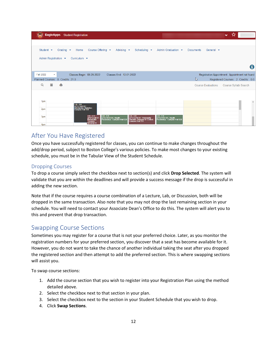| Student $\blacktriangleright$<br>Course Offering $\blacktriangleright$<br>Advising $\bullet$<br>Grading $\blacktriangleright$<br>Home<br>Scheduling $\blacktriangleright$<br>Admin Graduation $\blacktriangleright$<br><b>Documents</b><br>General $\blacktriangleright$                                                                             |          |
|------------------------------------------------------------------------------------------------------------------------------------------------------------------------------------------------------------------------------------------------------------------------------------------------------------------------------------------------------|----------|
| Admin Registration ▼<br>Curriculum $\blacktriangleright$                                                                                                                                                                                                                                                                                             |          |
|                                                                                                                                                                                                                                                                                                                                                      | Gl       |
| <b>Fall 2022</b><br>Classes Begin: 08-29-2022<br>Classes End: 12-01-2022<br>Registration Appointment: Appointment not found<br>$\blacktriangledown$                                                                                                                                                                                                  |          |
| ℕ<br>Planned Courses: 8 Credits: 21.0<br>Registered Courses: 2 Credits: 6.0                                                                                                                                                                                                                                                                          |          |
| 篇<br>ıЯ<br>Q<br><b>Course Evaluations</b><br>Course Syllabi Search                                                                                                                                                                                                                                                                                   |          |
|                                                                                                                                                                                                                                                                                                                                                      |          |
| 1pm                                                                                                                                                                                                                                                                                                                                                  | $\Delta$ |
| $1:30 - 4:00$<br>APSY7468 01 :<br>Introductory Statistics :<br>Campion Hall 131<br>2pm                                                                                                                                                                                                                                                               |          |
| $3:00 - 4:15$<br>$3:00 - 4:15$<br>$3:00 - 4:15$<br>$3:00 - 4:15$<br>3pm<br>APSY2240 01 : Personality<br>Theories: Behavior in Context :<br>Campion Hall 235<br>APSY4151 01: Health<br>APSY2240 01 :<br>Personality<br>Theories:<br>APSY4151 01 : Health<br>Psychology: Campion Hall 328<br>Psychology: Campion Hall 328<br><b>Behavior</b> in<br>4pm |          |

# <span id="page-11-0"></span>After You Have Registered

Once you have successfully registered for classes, you can continue to make changes throughout the add/drop period, subject to Boston College's various policies. To make most changes to your existing schedule, you must be in the Tabular View of the Student Schedule.

#### <span id="page-11-1"></span>Dropping Courses

To drop a course simply select the checkbox next to section(s) and click **Drop Selected**. The system will validate that you are within the deadlines and will provide a success message if the drop is successful in adding the new section.

Note that if the course requires a course combination of a Lecture, Lab, or Discussion, both will be dropped in the same transaction. Also note that you may not drop the last remaining section in your schedule. You will need to contact your Associate Dean's Office to do this. The system will alert you to this and prevent that drop transaction.

# <span id="page-11-2"></span>Swapping Course Sections

Sometimes you may register for a course that is not your preferred choice. Later, as you monitor the registration numbers for your preferred section, you discover that a seat has become available for it. However, you do not want to take the chance of another individual taking the seat after you dropped the registered section and then attempt to add the preferred section. This is where swapping sections will assist you.

To swap course sections:

- 1. Add the course section that you wish to register into your Registration Plan using the method detailed above.
- 2. Select the checkbox next to that section in your plan.
- 3. Select the checkbox next to the section in your Student Schedule that you wish to drop.
- 4. Click **Swap Sections**.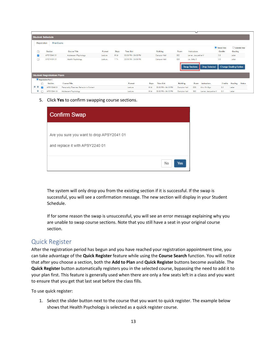|         |                         |                                   |                                           |         |                 |                     |      |                     |                 | M                    |                      |                       |                              |
|---------|-------------------------|-----------------------------------|-------------------------------------------|---------|-----------------|---------------------|------|---------------------|-----------------|----------------------|----------------------|-----------------------|------------------------------|
|         |                         | <b>Student Schedule</b>           |                                           |         |                 |                     |      |                     |                 |                      |                      |                       |                              |
|         | Registration            | <b>Final Exams</b>                |                                           |         |                 |                     |      |                     |                 |                      |                      |                       |                              |
|         |                         |                                   |                                           |         |                 |                     |      |                     |                 |                      |                      | <b>O</b> Tabular View | $\bigcirc$ Calendar View     |
| $\Box$  |                         | <b>Section</b>                    | <b>Course Title</b>                       | Format  | Days            | <b>Time Slot</b>    |      | <b>Building</b>     | Room            | Instructors          |                      | <b>Credits</b>        | Grading                      |
| V       |                         | APSY204101                        | Adolescent Psychology                     | Lecture | M W             | 03:00 PM - 04:15 PM |      | Campion Hall        | 302             | Lerner, Jacqueline V |                      | 3.0                   | Letter                       |
| $\Box$  |                         | APSY415101                        | Health Psychology                         | Lecture | T <sub>Th</sub> | 03:00 PM - 04:15 PM |      | Campion Hall        | 328             | Lai, Betty S         |                      | 3.0                   | Letter                       |
|         |                         |                                   |                                           |         |                 |                     |      |                     |                 | <b>Swap Sections</b> | <b>Drop Selected</b> |                       | <b>Change Grading Option</b> |
|         |                         | <b>Student Registration Plans</b> |                                           |         |                 |                     |      |                     |                 |                      |                      |                       |                              |
|         | Registration Plan 1     |                                   |                                           |         |                 |                     |      |                     |                 |                      |                      |                       |                              |
|         |                         | <b>Section</b>                    | <b>Course Title</b>                       |         |                 | Format              | Days | <b>Time Slot</b>    | <b>Building</b> | Room                 | Instructors          | <b>Credits</b>        | Grading<br><b>Status</b>     |
| $O$ $O$ | $\overline{\mathbf{v}}$ | APSY224001                        | Personality Theories: Behavior in Context |         |                 | Lecture             | M W  | 03:00 PM - 04:15 PM | Campion Hall    | 235                  | Kim, Oh Myo          | 3.0                   | Letter                       |
| o       |                         | APSY204101                        | Adolescent Psychology                     |         |                 | Lecture             | M W  | 03:00 PM - 04:15 PM | Campion Hall    | 302                  | Lerner, Jacqueline V | 3.0                   | Letter                       |

5. Click **Yes** to confirm swapping course sections.

| <b>Confirm Swap</b>                                                          |           |
|------------------------------------------------------------------------------|-----------|
| Are you sure you want to drop APSY2041 01<br>and replace it with APSY2240 01 |           |
|                                                                              | No<br>Yes |

The system will only drop you from the existing section if it is successful. If the swap is successful, you will see a confirmation message. The new section will display in your Student Schedule.

If for some reason the swap is unsuccessful, you will see an error message explaining why you are unable to swap course sections. Note that you still have a seat in your original course section.

# <span id="page-12-0"></span>Quick Register

After the registration period has begun and you have reached your registration appointment time, you can take advantage of the **Quick Register** feature while using the **Course Search** function. You will notice that after you choose a section, both the **Add to Plan** and **Quick Register** buttons become available. The **Quick Register** button automatically registers you in the selected course, bypassing the need to add it to your plan first. This feature is generally used when there are only a few seats left in a class and you want to ensure that you get that last seat before the class fills.

To use quick register:

1. Select the slider button next to the course that you want to quick register. The example below shows that Health Psychology is selected as a quick register course.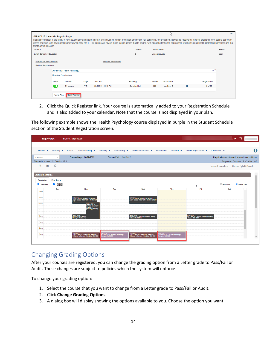| <b>APSY4151 Health Psychology</b><br>treatment of illnesses. |                              |                            |                 |                              | Health psychology is the study of how psychology and health interact and influence: health promotion and health risk behaviors, the treatment individuals receive for medical problems, how people cope with<br>stress and pain, and how people behave when they are ill. This course will review these issues across the life course, with special attention to approaches which influence health promoting behaviors and the |               | M            |   |                   | $\checkmark$  |
|--------------------------------------------------------------|------------------------------|----------------------------|-----------------|------------------------------|--------------------------------------------------------------------------------------------------------------------------------------------------------------------------------------------------------------------------------------------------------------------------------------------------------------------------------------------------------------------------------------------------------------------------------|---------------|--------------|---|-------------------|---------------|
| School                                                       |                              |                            |                 |                              | <b>Credits</b>                                                                                                                                                                                                                                                                                                                                                                                                                 | Course Level  |              |   |                   | <b>Status</b> |
| Lynch School of Education                                    |                              |                            |                 |                              | 3                                                                                                                                                                                                                                                                                                                                                                                                                              | Undergraduate |              |   |                   | open          |
| Fulfills Core Requirements:<br><b>Elective Requirements</b>  |                              |                            |                 | <b>Required Permissions:</b> |                                                                                                                                                                                                                                                                                                                                                                                                                                |               |              |   |                   |               |
|                                                              |                              | APSY4151 Health Psychology |                 |                              |                                                                                                                                                                                                                                                                                                                                                                                                                                |               |              |   | $\circ$ r $\cdot$ |               |
|                                                              | <b>Required Permissions:</b> |                            |                 |                              |                                                                                                                                                                                                                                                                                                                                                                                                                                |               |              |   |                   |               |
|                                                              | <b>Select</b>                | <b>Section</b>             | Days            | <b>Time Slot</b>             | <b>Building</b>                                                                                                                                                                                                                                                                                                                                                                                                                | Room          | Instructors  |   | Registered        |               |
|                                                              | ٠                            | 01 Lecture                 | T <sub>Th</sub> | 03:00 PM - 04:15 PM          | Campion Hall                                                                                                                                                                                                                                                                                                                                                                                                                   | 328           | Lai, Betty S | п | 0 of 35           |               |
|                                                              |                              |                            |                 |                              |                                                                                                                                                                                                                                                                                                                                                                                                                                |               |              |   |                   |               |
|                                                              | Add to Plan                  | Quick Register             |                 |                              |                                                                                                                                                                                                                                                                                                                                                                                                                                |               |              |   |                   |               |

2. Click the Quick Register link. Your course is automatically added to your Registration Schedule and is also added to your calendar. Note that the course is not displayed in your plan.

The following example shows the Health Psychology course displayed in purple in the Student Schedule section of the Student Registration screen.

|                            | <b>EagleApps</b> |                                                         | <b>Student Registration</b> |                                                                                                               |                                                                       |                                                                                                                                |                                                                      |                                                                                 |                                                 | ↓↓☆                                |                          |
|----------------------------|------------------|---------------------------------------------------------|-----------------------------|---------------------------------------------------------------------------------------------------------------|-----------------------------------------------------------------------|--------------------------------------------------------------------------------------------------------------------------------|----------------------------------------------------------------------|---------------------------------------------------------------------------------|-------------------------------------------------|------------------------------------|--------------------------|
|                            |                  |                                                         |                             |                                                                                                               |                                                                       |                                                                                                                                |                                                                      |                                                                                 |                                                 |                                    |                          |
|                            |                  |                                                         |                             |                                                                                                               |                                                                       | Student . Grading . Home Course Offering . Advising . Scheduling . Admin Graduation . Documents General . Admin Registration . |                                                                      |                                                                                 | Curriculum $\sim$                               |                                    | $\mathbf 6$              |
| <b>Fall 2022</b>           |                  | $\scriptstyle\star$<br>Planned Courses: 5 Credits: 12.0 |                             | Classes Begin: 08-29-2022                                                                                     | Classes End: 12-01-2022                                               |                                                                                                                                |                                                                      |                                                                                 | Registration Appointment: Appointment not found | Registered Courses: 2 Credits: 6.0 |                          |
| $\alpha$                   | 篇                | 會                                                       |                             |                                                                                                               |                                                                       |                                                                                                                                |                                                                      |                                                                                 | Course Evaluations Course Syllabi Search        |                                    |                          |
| <b>Student Schedule</b>    |                  |                                                         |                             |                                                                                                               |                                                                       |                                                                                                                                |                                                                      |                                                                                 |                                                 |                                    | Ê                        |
| Registration<br>Registered |                  | Final Exams<br>$\blacksquare$ In Plan                   |                             |                                                                                                               |                                                                       |                                                                                                                                |                                                                      |                                                                                 | <b>O</b> Tabular View                           | Calendar View                      |                          |
|                            |                  |                                                         |                             |                                                                                                               |                                                                       |                                                                                                                                |                                                                      | ピ                                                                               |                                                 |                                    |                          |
| 8am                        |                  | Sun                                                     |                             | Mon                                                                                                           | Tue                                                                   | Wed                                                                                                                            | Thu                                                                  | Fri                                                                             | Sat                                             | A                                  |                          |
|                            |                  |                                                         |                             |                                                                                                               |                                                                       |                                                                                                                                |                                                                      |                                                                                 |                                                 |                                    |                          |
| 9am                        |                  |                                                         |                             | 9:00 - 10:15<br>ARTH2258 01 : Modernism and the<br>Avant-Garde, 1900-1945 : Devlin Hall<br>218                |                                                                       | 9:00 - 10:15<br>ARTH2258 01 : Modernism and the<br>Avant-Garde, 1900-1945 : Devlin Hall 218                                    |                                                                      |                                                                                 |                                                 |                                    |                          |
| 10am                       |                  |                                                         |                             | 10:00 - 12:50<br>CHEM1111 01 :<br>General Chemistry<br>Laborator Chemistry<br>Merkert Chemistry<br>Center 116 |                                                                       |                                                                                                                                |                                                                      |                                                                                 |                                                 |                                    |                          |
| 11am                       |                  |                                                         |                             |                                                                                                               |                                                                       |                                                                                                                                |                                                                      |                                                                                 |                                                 |                                    |                          |
| 12pm                       |                  |                                                         |                             | 12:00 - 12:50<br>HIST2481 01 : Africa<br>History I : Stokes Hal                                               |                                                                       | 12:00 - 12:50<br>HIST2481 01 : African-American History I<br>: Stokes Hall 209S                                                |                                                                      | 12:00 - 12:50<br>HIST2481 01 : African-American History I<br>: Stokes Hall 209S |                                                 |                                    |                          |
| 1pm                        |                  |                                                         |                             |                                                                                                               |                                                                       |                                                                                                                                |                                                                      |                                                                                 |                                                 |                                    |                          |
| 2pm                        |                  |                                                         |                             |                                                                                                               |                                                                       |                                                                                                                                |                                                                      |                                                                                 |                                                 |                                    |                          |
|                            |                  |                                                         |                             | $00 - 4:15$                                                                                                   |                                                                       |                                                                                                                                |                                                                      |                                                                                 |                                                 |                                    |                          |
| 3pm                        |                  |                                                         |                             | APSY2240 01 : Personality Theories:<br>Behavior in Context : Campion Hall 235                                 | a:00 - 4:15<br>APSY4151 01 : Health Psychology :<br>Campion Halll 328 | 3:00 - 4:15<br>APSY2240 01 : Personality Theories:<br>Behavior in Context : Campion Hall 235                                   | a:00 - 4:15<br>APSY4151 01 : Health Psychology :<br>Campion Hall 328 |                                                                                 |                                                 |                                    | $\overline{\phantom{a}}$ |
|                            |                  |                                                         |                             |                                                                                                               |                                                                       |                                                                                                                                |                                                                      |                                                                                 |                                                 |                                    |                          |

# <span id="page-13-0"></span>Changing Grading Options

After your courses are registered, you can change the grading option from a Letter grade to Pass/Fail or Audit. These changes are subject to policies which the system will enforce.

To change your grading option:

- 1. Select the course that you want to change from a Letter grade to Pass/Fail or Audit.
- 2. Click **Change Grading Options**.
- 3. A dialog box will display showing the options available to you. Choose the option you want.